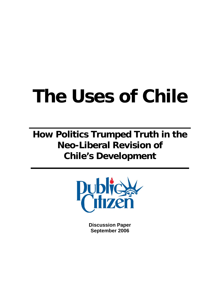# **The Uses of Chile**

**How Politics Trumped Truth in the Neo-Liberal Revision of Chile's Development**



**Discussion Paper September 2006**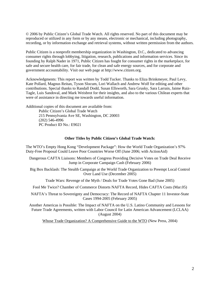© 2006 by Public Citizen's Global Trade Watch. All rights reserved. No part of this document may be reproduced or utilized in any form or by any means, electronic or mechanical, including photography, recording, or by information exchange and retrieval systems, without written permission from the authors.

Public Citizen is a nonprofit membership organization in Washington, D.C., dedicated to advancing consumer rights through lobbying, litigation, research, publications and information services. Since its founding by Ralph Nader in 1971, Public Citizen has fought for consumer rights in the marketplace, for safe and secure health care, for fair trade, for clean and safe energy sources, and for corporate and government accountability. Visit our web page at http://www.citizen.org.

Acknowledgments: This report was written by Todd Tucker. Thanks to Eliza Brinkmeyer, Paul Levy, Kate Pollard, Magnus Reitan, Tyson Slocum, Lori Wallach and Andrew Wolf for editing and other contributions. Special thanks to Randall Dodd, Susan Ellsworth, Sara Grusky, Sara Larrain, Jaime Ruiz-Tagle, Luis Sandoval, and Mark Weisbrot for their insights, and also to the various Chilean experts that were of assistance in directing me towards useful information.

Additional copies of this document are available from: Public Citizen's Global Trade Watch 215 Pennsylvania Ave SE, Washington, DC 20003 (202) 546-4996 PC Product ID No.: E9021

#### **Other Titles by Public Citizen's Global Trade Watch:**

The WTO's Empty Hong Kong "Development Package": How the World Trade Organization's 97% Duty-Free Proposal Could Leave Poor Countries Worse Off (June 2006; with ActionAid)

Dangerous CAFTA Liaisons: Members of Congress Providing Decisive Votes on Trade Deal Receive Jump in Corporate Campaign Cash (February 2006)

Big Box Backlash: The Stealth Campaign at the World Trade Organization to Preempt Local Control Over Land Use (December 2005)

Trade Wars: Revenge of the Myth / Deals for Trade Votes Gone Bad (June 2005)

Fool Me Twice? Chamber of Commerce Distorts NAFTA Record, Hides CAFTA Costs (Mar.05)

NAFTA's Threat to Sovereignty and Democracy: The Record of NAFTA Chapter 11 Investor-State Cases 1994-2005 (February 2005)

Another Americas is Possible: The Impact of NAFTA on the U.S. Latino Community and Lessons for Future Trade Agreements, written with Labor Council for Latin American Advancement (LCLAA) (August 2004)

Whose Trade Organization? A Comprehensive Guide to the WTO (New Press, 2004)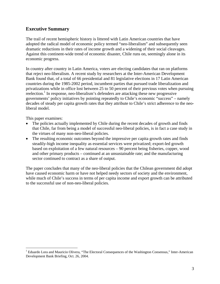## **Executive Summary**

The trail of recent hemispheric history is littered with Latin American countries that have adopted the radical model of economic policy termed "neo-liberalism" and subsequently seen dramatic reductions in their rates of income growth and a widening of their social cleavages. Against this continent-wide trend of economic disaster, Chile runs on, seemingly alone in its economic progress.

In country after country in Latin America, voters are electing candidates that ran on platforms that reject neo-liberalism. A recent study by researchers at the Inter-American Development Bank found that, of a total of 66 presidential and 81 legislative elections in 17 Latin American countries during the 1985-2002 period, incumbent parties that pursued trade liberalization and privatizations while in office lost between 25 to 50 percent of their previous votes when pursuing reelection.<sup>[1](#page-2-0)</sup> In response, neo-liberalism's defenders are attacking these new progressive governments' policy initiatives by pointing repeatedly to Chile's economic "success" – namely decades of steady per capita growth rates that they attribute to Chile's strict adherence to the neoliberal model.

This paper examines:

 $\overline{a}$ 

- The policies actually implemented by Chile during the recent decades of growth and finds that Chile, far from being a model of successful neo-liberal policies, is in fact a case study in the virtues of many non-neo-liberal policies.
- The resulting economic outcomes beyond the impressive per capita growth rates and finds steadily-high income inequality as essential services were privatized; export-led growth based on exploitation of a few natural resources – 90 percent being fisheries, copper, wood and other primary products – continued at an unsustainable rate; and the manufacturing sector continued to contract as a share of output.

The paper concludes that many of the neo-liberal policies that the Chilean government did adopt have caused economic harm or have not helped needy sectors of society and the environment, while much of Chile's success in terms of per capita income and export growth can be attributed to the successful use of non-neo-liberal policies.

<span id="page-2-0"></span><sup>&</sup>lt;sup>1</sup> Eduardo Lora and Mauricio Olivera, "The Electoral Consequences of the Washington Consensus," Inter-American Development Bank Briefing, Oct. 26, 2004.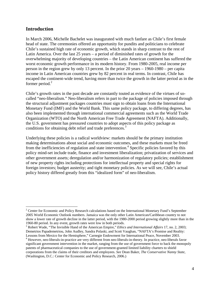### **Introduction**

 $\overline{a}$ 

In March 2006, Michelle Bachelet was inaugurated with much fanfare as Chile's first female head of state. The ceremonies offered an opportunity for pundits and politicians to celebrate Chile's sustained high rate of economic growth, which stands in sharp contrast to the rest of Latin America. Over the last 25 years – a period of diminished rates of growth for the overwhelming majority of developing countries – the Latin American continent has suffered the worst economic growth performance in its modern history. From 1980-2005, real income per person in the region grew by only 13 percent. In the prior 20 years – 1960-1980 – per capita income in Latin American countries grew by 82 percent in real terms. In contrast, Chile has escaped the continent-wide trend, having more than twice the growth in the latter period as in the former period. $2$ 

Chile's growth rates in the past decade are constantly touted as evidence of the virtues of socalled "neo-liberalism." Neo-liberalism refers in part to the package of policies imposed through the structural adjustment packages countries must sign to obtain loans from the International Monetary Fund (IMF) and the World Bank. This same policy package, to differing degrees, has also been implemented through international commercial agreements such as the World Trade Organization (WTO) and the North American Free Trade Agreement (NAFTA). Additionally, the U.S. government has pressured countries to adopt aspects of this policy package as conditions for obtaining debt relief and trade preferences.<sup>3</sup>

Underlying these policies is a radical worldview: markets should be the primary institution making determinations about social and economic outcomes, and these markets must be freed from the inefficiencies of regulation and state intervention.<sup>[4](#page-3-2)</sup> Specific policies favored by this policy mind-set include trade, finance and investment liberalization; privatization of services and other government assets; deregulation and/or harmonization of regulatory policies; establishment of new property rights including protections for intellectual property and special rights for foreign investors; budget austerity; and tight monetary policies. As we will see, Chile's actual policy history differed greatly from this "idealized form" of neo-liberalism.

<span id="page-3-0"></span><sup>&</sup>lt;sup>2</sup> Center for Economic and Policy Research calculations based on the International Monetary Fund's September 2005 World Economic Outlook numbers. Jamaica was the only other Latin American/Caribbean country to not show a lower rate of growth decline in the latter period, with the 1980-2000 period growing slightly more than in the 1960-80 period. In any event, growth rates were low in both periods. 3 Robert Wade, "The Invisible Hand of the American Empire," *Ethics and International Affairs* 17, no. 2, 2003;

<span id="page-3-1"></span>Demetrios Papademetriou, John Audley, Sandra Polaski, and Scott Vaughan, "NAFTA's Promise and Reality: Lessons from Mexico for the Hemisphere," Carnegie Endowment for International Peace, November 2003. 4

<span id="page-3-2"></span><sup>&</sup>lt;sup>4</sup> However, neo-liberals-in-practice are very different from neo-liberals-in-theory. In practice, neo-liberals favor significant government intervention in the market, ranging from the use of government force to back the monopoly patents of pharmaceutical companies to the use of government-granted limited liability charters to shield corporations from the claims of their creditors and employees. *See* Dean Baker, *The Conservative Nanny State*, (Washington, D.C.: Center for Economic and Policy Research, 2006.)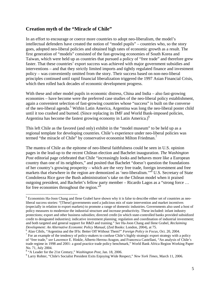## **Creation myth of the "Miracle of Chile"**

In an effort to encourage or coerce more countries to adopt neo-liberalism, the model's intellectual defenders have created the notion of "model pupils" – countries who, so the story goes, adopted neo-liberal policies and obtained high rates of economic growth as a result. The first generation of "models" consisted of the fast-growing economies of South Korea and Taiwan, which were held up as countries that pursued a policy of "free trade" and therefore grew faster. That these countries' export success was achieved with major government subsidies and interventions – and that they strictly limited imports and tightly regulated finance and investment policy – was conveniently omitted from the story. Their success based on non-neo-liberal principles continued until rapid financial liberalization triggered the 1997 Asian Financial Crisis, which then rolled back decades of economic development progress.

With these and other model pupils in economic distress, China and India – also fast-growing economies – have become were the preferred case studies of the neo-liberal policy establishment, again a convenient selection of fast-growing countries whose "success" is built on the converse ofthe neo-liberal agenda.<sup>5</sup> Within Latin America, Argentina was long the neo-liberal poster child until it too crashed and burned. (Since replacing its IMF and World Bank-imposed policies, Argentina has become the fastest growing economy in Latin America.)<sup>[6](#page-4-1)</sup>

This left Chile as the favored (and only) exhibit in the "model museum" to be held up as a regional template for developing countries. Chile's experience under neo-liberal policies was termed "the miracle of Chile" by conservative economist Milton Friedman.<sup>7</sup>

The mantra of Chile as the epitome of neo-liberal faithfulness could be seen in U.S. opinion pages in the lead-up to the recent Chilean election and Bachelet inauguration. *The Washington Post* editorial page celebrated that Chile "increasingly looks and behaves more like a European country than one of its neighbors," and posited that Bachelet "doesn't question the foundations of her country's growing prosperity – which are the very free trade, foreign investment and free markets that elsewhere in the region are demonized as 'neo-liberalism."<sup>8</sup> U.S. Secretary of State Condoleeza Rice gave the Bush administration's take on the Chilean model when it praised outgoing president, and Bachelet's fellow party member – Ricardo Lagos as a "strong force … for free economies throughout the region.["9](#page-4-4)

 $\overline{a}$ 

<span id="page-4-0"></span><sup>&</sup>lt;sup>5</sup> Economists Ha-Joon Chang and Ilene Grabel have shown why it is false to describe either set of countries as neoliberal success stories: "[These] governments used a judicious mix of state intervention and market incentives (especially in relation to export markets) to promote a range of domestic industries. Governments also used a host of policy measures to modernize the industrial structure and increase productivity. These included: infant industry protections; export and other business subsidies; directed credit (in which state-controlled banks provided subsidized credit to designated industries); indicative investment planning; regulation and coordination of industrial investment; and both targeted and general support for R&D and training." *See* Ha-Joon Chang and Ilene Grabel, *Reclaiming Development: An Alternative Economic Policy Manual, (Zed Books: London, 2004), at 75.* 

<span id="page-4-2"></span><span id="page-4-1"></span><sup>&</sup>lt;sup>6</sup> Alan Cibils, "Argentina and the IFIs: Better Off Without Them?" *Foreign Policy in Focus*, Oct. 20, 2004.  $\frac{7}{1}$  For an example of the tendency of policy-makers to confuse Chile's highly strategic export strategy with a policy of "free trade," *see* Lawrence E. Hinkle, Alberto Herrou-Aragon, and Francesca Castellani, "An analysis of Chile's trade regime in 1998 and 2001: a good practice trade policy benchmark," World Bank Africa Region Working Paper

<span id="page-4-3"></span>No. 71, July 2004.<br><sup>8</sup> "A Leader for the 21st Century," *Washington Post*, Jan. 18, 2006.

<span id="page-4-4"></span>Larry Rohter, "Chile's Socialist President Exits Enjoying Wide Respect," *New York Times,* March 11, 2006.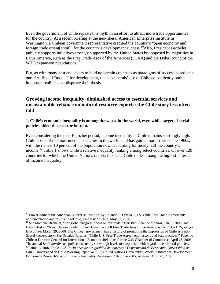Even the government of Chile repeats this myth in an effort to attract more trade opportunities for the country. At a recent briefing at the neo-liberal American Enterprise Institute in Washington, a Chilean government representative credited the country's "open economy and foreign trade orient [ation]" for the country's development success.<sup>10</sup>Also, President Bachelet publicly supports initiatives strongly supported by the United States but opposed by majorities in Latin America, such as the Free Trade Area of the Americas (FTAA) and the Doha Round of the WTO expansion negotiations.<sup>[11](#page-5-1)</sup>

But, as with many past endeavors to hold up certain countries as paradigms of success based on a one-size-fits-all "model" for development, the neo-liberals' use of Chile conveniently omits important realities that disprove their thesis.

## **Growing income inequality, diminished access to essential services and unsustainable reliance on natural resource exports: the Chile story less often told**

#### **1. Chile's economic inequality is among the worst in the world, even while targeted social policies aided those at the bottom.**

Even considering the post-Pinochet period, income inequality in Chile remains startlingly high. Chile is one of the most unequal societies in the world, and has gotten more so since the 1960s, with the richest 10 percent of the population now accounting for nearly half the country's income. [12](#page-5-2) Table 1 shows Chile's relative inequality ranking among select countries. Of over 120 countries for which the United Nations reports this data, Chile ranks among the highest in terms of income inequality.

1

<span id="page-5-0"></span><sup>&</sup>lt;sup>10</sup> Power-point at the American Enterprise Institute, by Rolando F. Ortega, "U.S.-Chile Free Trade Agreement: implementation and results," ProChile, Embassy of Chile, May 23, 2006.

<span id="page-5-1"></span><sup>&</sup>lt;sup>11</sup> See Michelle Bachelet, "For global progress, focus on fair trade," *Christian-Science Monitor*, Jan. 9, 2006; and David Haskel, "New Chilean Leader to Push Conclusion Of Free Trade Area of the Americas Pact," *BNA Report for Executives,* March 29, 2006. The Chilean government has a history of promoting the impression of Chile as a neoliberal success story. *See* Osvaldo Rosales, "Chile-U.S. Free Trade Agreement: lessons and best practices," Paper by Chilean Director General for International Economic Relations for the U.S. Chamber of Commerce, April 28, 2003. The annual *Latinobarómetro* polls consistently show high levels of skepticism with regard to neo-liberal policies.<br><sup>12</sup> Jaime A. Ruiz-Tagle, "Chile: 40 años de desigualdad de ingresos," Departmento de Economía, Universid

<span id="page-5-2"></span>*Chile*, Universidad de Chile Working Paper No. 165; United Nations University's World Institute for Development Economics Research's World Income Inequality Database v 2.0a, June 2005, accessed April 28, 2006.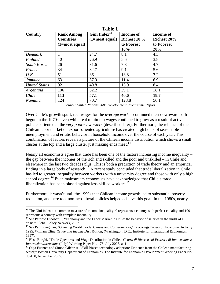| 1 avit 1             |                                       |                                                |                                    |                                        |
|----------------------|---------------------------------------|------------------------------------------------|------------------------------------|----------------------------------------|
| Country              | <b>Rank Among</b><br><b>Countries</b> | Gini Index <sup>13</sup><br>$(1 = most equal)$ | <b>Income of</b><br>Richest $10\%$ | <b>Income of</b><br><b>Richest 20%</b> |
|                      | $(1 = most equal)$                    |                                                | to Poorest<br>10%                  | to Poorest<br>20%                      |
| Denmark              | 1                                     | 24.7                                           | 8.1                                | 4.3                                    |
| Finland              | 10                                    | 26.9                                           | 5.6                                | 3.8                                    |
| South Korea          | 26                                    | 31.6                                           | 7.8                                | 4.7                                    |
| France               | 34                                    | 32.7                                           | 9.1                                | 5.6                                    |
| U.K.                 | 51                                    | 36                                             | 13.8                               | 7.2                                    |
| Jamaica              | 63                                    | 37.9                                           | 11.4                               | 6.9                                    |
| <b>United States</b> | 92                                    | 40.8                                           | 15.9                               | 8.4                                    |
| Argentina            | 106                                   | 52.2                                           | 39.1                               | 18.1                                   |
| <b>Chile</b>         | 113                                   | 57.1                                           | 40.6                               | 18.7                                   |
| Namibia              | 124                                   | 70.7                                           | 128.8                              | 56.1                                   |

**Table 1** 

*Source: United Nations 2005 Development Programme Report* 

Over Chile's growth spurt, real wages for the *average worker* continued their downward path begun in the 1970s, even while real minimum wages continued to grow as a result of active policies oriented at the *very poorest workers* (described later). Furthermore, the reliance of the Chilean labor market on export-oriented agriculture has created high bouts of seasonable unemployment and erratic behavior in household income over the course of each year. This combination of factors reveals a picture of the Chilean income distribution which shows a small cluster at the top and a large cluster just making ends meet.<sup>[14](#page-6-1)</sup>

Nearly all economists agree that trade has been one of the factors increasing income inequality – the gap between the incomes of the rich and skilled and the poor and unskilled – in Chile and elsewhere in the last two decades plus. This is both a prediction of trade theory and an empirical finding in a large body of research.<sup>15</sup> A recent study concluded that trade liberalization in Chile has led to greater inequality between workers with a university degree and those with only a high school degree.<sup>16</sup> Even mainstream economists have acknowledged that Chile's trade liberalization has been biased against less-skilled workers.<sup>17</sup>

Furthermore, it wasn't until the 1990s that Chilean income growth led to substantial poverty reduction, and here too, non-neo-liberal policies helped achieve this goal. In the 1980s, nearly

1

<span id="page-6-0"></span> $13$  The Gini index is a common measure of income inequality. 0 represents a country with perfect equality and 100

<span id="page-6-1"></span>represents a country with complete inequality.<br><sup>14</sup> *See* Patricio Escobar S., "Economy and the Labor Market in Chile: the behavior of salaries in the midst of a crisis," Global Policy Network, 2002.

<span id="page-6-2"></span><sup>&</sup>lt;sup>15</sup> See Paul Krugman, "Growing World Trade: Causes and Consequences," Brookings Papers on Economic Activity, 1995; William Cline, *Trade and Income Distribution*, (Washington, D.C.: Institute for International Economics,

<span id="page-6-3"></span><sup>1997). 16</sup> Elisa Borghi, "Trade Openness and Wage Distribution in Chile," *Centro di Ricerca sui Processi di Innovazione e*

<span id="page-6-4"></span><sup>&</sup>lt;sup>17</sup> Olga Fuentes and Simon Gilchrist, "Skill-biased technology adoption: Evidence from the Chilean manufacturing sector," Boston University Department of Economics, The Institute for Economic Development Working Paper No dp-150, November 2005.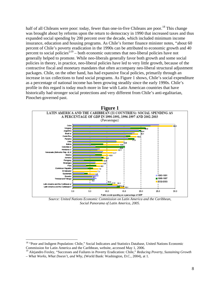half of all Chileans were poor: today, fewer than one-in-five Chileans are poor.<sup>18</sup> This change was brought about by reforms upon the return to democracy in 1990 that increased taxes and thus expanded social spending by 200 percent over the decade, which included minimum income insurance, education and housing programs. As Chile's former finance minister notes, "about 60 percent of Chile's poverty eradication in the 1990s can be attributed to economic growth and 40 percent to social policies<sup>"19</sup> – both economic outcomes that neo-liberal policies have not generally helped to promote. While neo-liberals generally favor both growth and some social policies in theory, in practice, neo-liberal policies have led to very little growth, because of the contractive fiscal and monetary mandates that often accompany neo-liberal structural adjustment packages. Chile, on the other hand, has had expansive fiscal policies, primarily through an increase in tax collections to fund social programs. As Figure 1 shows, Chile's social expenditure as a percentage of national income has been growing steadily since the early 1990s. Chile's profile in this regard is today much more in line with Latin American countries that have historically had stronger social protections and very different from Chile's anti-egalitarian, Pinochet-governed past.



*Source: United Nations Economic Commission on Latin America and the Caribbean, Social Panorama of Latin America, 2005.* 

 $\overline{a}$ 

<span id="page-7-0"></span><sup>&</sup>lt;sup>18</sup> "Poor and Indigent Population: Chile," Social Indicators and Statistics Database, United Nations Economic Commission for Latin America and the Caribbean, website, accessed May 1, 2006.

<span id="page-7-1"></span><sup>19</sup> Alejandro Foxley, "Successes and Failures in Poverty Eradication: Chile," *Reducing Poverty, Sustaining Growth – What Works, What Doesn't, and Why*, (World Bank: Washington, D.C., 2004), at 1.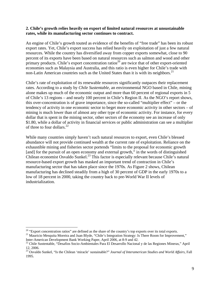#### **2. Chile's growth relies heavily on export of limited natural resources at unsustainable rates, while its manufacturing sector continues to contract.**

An engine of Chile's growth touted as evidence of the benefits of "free trade" has been its robust export rates. Yet, Chile's export success has relied heavily on exploitation of just a few natural resources. While the country has diversified away from copper exports somewhat, close to 90 percent of its exports have been based on natural resources such as salmon and wood and other primary products. Chile's export concentration ratios<sup>20</sup> are twice that of other export-oriented economies such as Malaysia and Australia, and this ratio is even higher for Chile's trade with non-Latin American countries such as the United States than it is with its neighbors.<sup>21</sup>

Chile's rate of exploitation of its renewable resources significantly outpaces their replacement rates. According to a study by *Chile Sustentable*, an environmental NGO based in Chile, mining alone makes up much of the economic output and more than 60 percent of regional exports in 5 of Chile's 13 regions – and nearly 100 percent in Chile's Region II. As the NGO's report shows, this over-concentration is of grave importance, since the so-called "multiplier effect" – or the tendency of activity in one economic sector to beget more economic activity in other sectors – of mining is much lower than of almost any other type of economic activity. For instance, for every dollar that is spent in the mining sector, other sectors of the economy see an increase of only \$1.80, while a dollar of activity in financial services or public administration can see a multiplier of three to four dollars.<sup>[22](#page-8-2)</sup>

While many countries simply haven't such natural resources to export, even Chile's blessed abundance will not provide continued wealth at the current rate of exploitation. Reliance on the exhaustible mining and fisheries sector portends "limits to the proposal for economic growth [and] for the pursuit of an open economy and external growth," in the words of distinguished Chilean economist Osvaldo Sunkel[.23](#page-8-3) This factor is especially relevant because Chile's natural resource-based export growth has masked an important trend of contraction in Chile's manufacturing sector that has taken place since the 1970s. As Figure 2 shows, Chilean manufacturing has declined steadily from a high of 30 percent of GDP in the early 1970s to a low of 18 percent in 2000, taking the country back to pre-World War II levels of industrialization.

<span id="page-8-0"></span><sup>&</sup>lt;sup>20</sup> "Export concentration ratios" are defined as the share of the country's top exports over its total exports.

<span id="page-8-1"></span><sup>&</sup>lt;sup>21</sup> Mauricio Mesquita Moreira and Juan Blyde, "Chile's Integration Strategy: Is There Room for Improvement,"<br>Inter-American Development Bank Working Paper, April 2006, at 8-9 and 42.

<span id="page-8-2"></span><sup>&</sup>lt;sup>22</sup> Chile Sustentable, "Desafios Socio-Ambientales Para El Desarrollo Nacional y de las Regiones Mineras," April 12, 2006.

<span id="page-8-3"></span><sup>23</sup> Osvaldo Sunkel, "Is the Chilean 'miracle' sustainable?" *Journal of Interamerican Studies and World Affairs,* Fall 1995.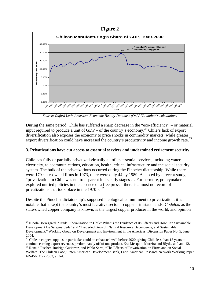



*Source: Oxford Latin American Economic History Database (OxLAD); author's calculations*

During the same period, Chile has suffered a sharp decrease in the "eco-efficiency" – or material input required to produce a unit of  $GDP - of$  the country's economy.<sup>24</sup> Chile's lack of export diversification also exposes the economy to price shocks in commodity markets, while greater export diversification could have increased the country's productivity and income growth rate.<sup>25</sup>

#### **3. Privatizations have cut access to essential services and undermined retirement security.**

Chile has fully or partially privatized virtually all of its essential services, including water, electricity, telecommunications, education, health, critical infrastructure and the social security system. The bulk of the privatizations occurred during the Pinochet dictatorship. While there were 179 state-owned firms in 1973, there were only 44 by 1989. As noted by a recent study, "privatization in Chile was not transparent in its early stages … Furthermore, policymakers explored untried policies in the absence of a free press – there is almost no record of privatizations that took place in the 1970's."<sup>[26](#page-9-2)</sup>

Despite the Pinochet dictatorship's supposed ideological commitment to privatization, it is notable that it kept the country's most lucrative sector – copper – in state hands. *Codelco,* as the state-owned copper company is known, is the largest copper producer in the world, and opinion

<span id="page-9-0"></span> $\overline{a}$ <sup>24</sup> Nicola Borregaard, "Trade Liberalization in Chile: What is the Evidence of its Effects and How Can Sustainable Development Be Safeguarded?" and "Trade-led Growth, Natural Resource Dependence, and Sustainable Development," Working Group on Development and Environment in the Americas, Discussion Paper No. 5, June

<span id="page-9-1"></span><sup>2004. 25</sup> Chilean copper supplies in particular could be exhausted well before 2020, giving Chile less than 15 years to continue earning export revenues predominately off of one product. See Mesquita Moreira and Blyde, at 9 and 12.<br><sup>26</sup> Ronald Fischer, Rodrigo Gutierrez, and Pablo Serra, "The Effects of Privatization on Firms and on Social

<span id="page-9-2"></span>Welfare: The Chilean Case," Inter-American Development Bank, Latin American Research Network Working Paper #R-456, May 2003, at 3-4.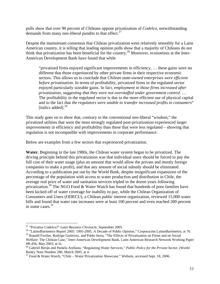polls show that over 90 percent of Chileans oppose privatization of *Codelco*, notwithstanding demands from many neo-liberal pundits to that effect. $27$ 

Despite the mainstream consensus that Chilean privatization went relatively smoothly for a Latin American country, it is telling that leading opinion polls show that a majority of Chileans do not think that privatization has been beneficial for the country.[28](#page-10-1) Moreover, economists at the Inter-American Development Bank have found that while

"privatized firms enjoyed significant improvements in efficiency, … these gains were no different that those experienced by other private firms in their respective economic sectors. This allows us to conclude that *Chilean state-owned enterprises were efficient before privatization*. In terms of profitability, privatized firms in the regulated sector enjoyed particularly sizeable gains. In fact, *employment in those firms increased after privatization, suggesting that they were not overstaffed under government control*. … The profitability in the regulated sector is due to the more efficient use of physical capital and to the fact that *the regulators were unable to transfer increased profits to consumers*" [italics added]. $^{29}$  $^{29}$  $^{29}$ 

This study goes on to show that, contrary to the conventional neo-liberal "wisdom," the privatized utilities that were the most strongly regulated post-privatization experienced larger improvements in efficiency and profitability than those that were less regulated – showing that regulation is not incompatible with improvements in corporate performance.

Below are examples from a few sectors that experienced privatization.

**Water.** Beginning in the late 1980s, the Chilean water system began to be privatized. The driving principle behind this privatization was that individual users should be forced to pay the full cost of their water usage (plus an amount that would allow the private and mostly foreign companies to make a profit), and that any amount of social subsidy should be eliminated. According to a publication put out by the World Bank, despite insignificant expansions of the percentage of the population with access to water production and distribution in Chile, the average real price of water and sanitation services tripled in the dozen years following privatization.<sup>30</sup> The NGO Food & Water Watch has found that hundreds of poor families have been kicked off of water coverage for inability to pay, while the Chilean Organization of Consumers and Users (ODECU), a Chilean public interest organization, reviewed 15,000 water bills and found that water rate increases were at least 100 percent and even reached 200 percent in some cases. $31$ 

<span id="page-10-0"></span><sup>&</sup>lt;sup>27</sup> "Privatize Codelco?" Latin Business Chronicle, September 2005.

<span id="page-10-1"></span><sup>&</sup>lt;sup>28</sup> "LatinoBarómetro Report 2005: 1995-2005, A Decade of Public Opinion," Corporación LatinoBarómetro, at 76.<br><sup>29</sup> Ronald Fischer, Rodrigo Gutierrez, and Pablo Serra, "The Effects of Privatization on Firms and on Social

<span id="page-10-2"></span>Welfare: The Chilean Case," Inter-American Development Bank, Latin American Research Network Working Paper

<span id="page-10-3"></span><sup>#</sup>R-456, May 2003, at iii.<br><sup>30</sup> Gabriel Bitrán and Pamela Arellano, "Regulating Water Services," *Public Policy for the Private Sector*, (World Bank), Note Number 286, March 2005, at 4.

<span id="page-10-4"></span> $31$  Food & Water Watch, "Chile – Water Privatization Showcase," Website, accessed Sept. 18, 2006.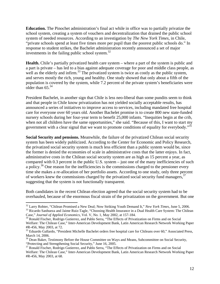**Education.** The Pinochet administration's final act while in office was to partially privatize the school system, creating a system of vouchers and decentralization that drained the public school system of needed resources. According to an investigation by *The New York Times*, in Chile, "private schools spend at least five times more per pupil than the poorest public schools do." In response to student strikes, the Bachelet administration recently announced a set of major investments in the failing public school system. [32](#page-11-0)

**Health.** Chile's partially privatized health care system – where a part of the system is public and a part is private – has led to a bias against adequate coverage for poor and middle class people, as well as the elderly and infirm.<sup>33</sup> The privatized system is twice as costly as the public system, and serves mostly the rich, young and healthy. One study showed that only about a fifth of the population is covered by the system, while 7.2 percent of the private system's beneficiaries were older than  $65.34$  $65.34$ 

President Bachelet, in another sign that Chile is less neo-liberal than some pundits seem to think and that people in Chile know privatization has not yielded socially acceptable results, has announced a series of initiatives to improve access to services, including mandated free hospital care for everyone over 60 years old. Another Bachelet promise is to create 800 new state-funded nursery schools during her four-year term to benefit 25,000 infants. "Inequities begin at the crib, when not all children have the same opportunities," she said. "Because of this, I want to start my government with a clear signal that we want to promote conditions of equality for everybody."<sup>35</sup>

**Social Security and pensions.** Meanwhile, the failure of the privatized Chilean social security system has been widely publicized. According to the Center for Economic and Policy Research, the privatized social security system is much less efficient than a public system would be, since the former is denied the economies of scale in administrative costs that the latter enjoys. In fact, administrative costs in the Chilean social security system are as high as 15 percent a year, as compared with 0.3 percent in the public U.S. system – just one of the many inefficiencies of such a policy.<sup>36</sup> One reason for the inefficiencies is the commissions charged to the pensioner every time she makes a re-allocation of her portfolio assets. According to one study, only three percent of workers knew the commissions charged by the privatized social security fund managers, <sup>[37](#page-11-5)</sup> suggesting that the system is not functionally transparent.

Both candidates in the recent Chilean election agreed that the social security system had to be overhauled, because of the enormous fiscal strain of the privatization on the government. But one

<span id="page-11-0"></span><sup>&</sup>lt;sup>32</sup> Larry Rohter, "Chilean Promised a New Deal; Now Striking Youth Demand It," New York Times, June 5, 2006.

<span id="page-11-1"></span><sup>&</sup>lt;sup>33</sup> Ricardo Sanhueza and Jaime Ruiz-Tagle, "Choosing Health Insurance in a Dual Health Care System: The Chilean Case," *Journal of Applied Economics*, Vol. V, No. 1, May 2002, at 157-184.<br><sup>34</sup> Ronald Fischer, Rodrigo Gutierrez, and Pablo Serra, "The Effects of Privatization on Firms and on Social

<span id="page-11-2"></span>Welfare: The Chilean Case," Inter-American Development Bank, Latin American Research Network Working Paper #R-456, May 2003, at 72.<br><sup>35</sup> Eduardo Gallardo, "President Michelle Bachelet orders free hospital care for Chileans over 60," Associated Press,

<span id="page-11-3"></span>

<span id="page-11-4"></span>March 14, 2006.<br><sup>36</sup> Dean Baker, Testimony Before the House Committee on Ways and Means, Subcommittee on Social Security, "Protecting and Strengthening Social Security," June 16, 2005.

<span id="page-11-5"></span><sup>&</sup>lt;sup>37</sup> Ronald Fischer, Rodrigo Gutierrez, and Pablo Serra, "The Effects of Privatization on Firms and on Social Welfare: The Chilean Case," Inter-American Development Bank, Latin American Research Network Working Paper #R-456, May 2003, at 68.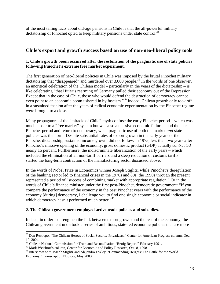of the most telling facts about old-age pensions in Chile is that the all-powerful military dictatorship of Pinochet opted to keep military pensions under state control.<sup>38</sup>

## **Chile's export and growth success based on use of non-neo-liberal policy tools**

#### **1. Chile's growth boom occurred after the restoration of the pragmatic use of state policies following Pinochet's extreme free market experiment.**

The first generation of neo-liberal policies in Chile was imposed by the brutal Pinochet military dictatorship that "disappeared" and murdered over  $3,000$  people.<sup>39</sup> In the words of one observer, an uncritical celebration of the Chilean model – particularly in the years of the dictatorship – is like celebrating "that Hitler's rearming of Germany pulled their economy out of the Depression. Except that in the case of Chile, those who would defend the destruction of democracy cannot even point to an economic boom ushered in by fascism."<sup>40</sup> Indeed, Chilean growth only took off in a sustained fashion after the years of radical economic experimentation by the Pinochet regime were brought to a close.

Many propagators of the "miracle of Chile" myth confuse the early Pinochet period – which was much closer to a "free market" system but was also a massive economic failure – and the late Pinochet period and return to democracy, when pragmatic use of both the market *and* state policies was the norm. Despite substantial rates of export growth in the early years of the Pinochet dictatorship, sustained income growth did not follow: in 1975, less than two years after Pinochet's massive opening of the economy, gross domestic product (GDP) actually *contracted*  nearly 15 percent. Furthermore, the indiscriminate liberalization of the early years – which included the elimination of all non-tariff barriers and a steep reduction of customs tariffs – started the long-term contraction of the manufacturing sector discussed above.

In the words of Nobel Prize in Economics winner Joseph Stiglitz, while Pinochet's deregulation of the banking sector led to financial crises in the 1970s and 80s, the 1990s through the present represented a period of "success of combining market with appropriate regulation." Or in the words of Chile's finance minister under the first post-Pinochet, democratic government: "If you compare the performance of the economy in the best Pinochet years with the performance of the economy [during] democracy, I challenge you to find one single economic or social indicator in which democracy hasn't performed much better."<sup>[41](#page-12-3)</sup>

### **2. The Chilean government employed active trade policies and subsidies.**

Indeed, in order to strengthen the link between export growth and the rest of the economy, the Chilean government undertook a series of ambitious, state-led economic policies that are more

<span id="page-12-0"></span> $\overline{a}$ <sup>38</sup> Dan Restrepo, "The Chilean Heroes of Social Security Privatizers," Center for American Progress column, Dec.

<span id="page-12-1"></span>

<span id="page-12-3"></span><span id="page-12-2"></span>

<sup>&</sup>lt;sup>39</sup> Chilean National Commission for Truth and Reconciliation "Rettig Report," February 1991.<br><sup>39</sup> Chilean National Commission for Truth and Reconciliation "Rettig Report," February 1991.<br><sup>40</sup> Mark Weisbrot's column, Cente Economy," Transcript on PBS.org, May 2003.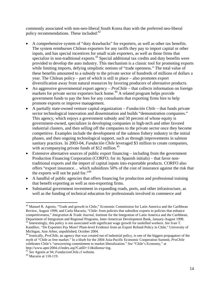commonly associated with non-neo-liberal South Korea than with the preferred neo-liberal policy recommendations. These included: $42$ 

- A comprehensive system of "duty drawbacks" for exporters, as well as other tax benefits. The system reimburses Chilean exporters for any tariffs they pay to import capital or other inputs, and has special incentives for small scale exporters, as well as those firms that specialize in non-traditional exports.<sup>43</sup> Special additional tax credits and duty benefits were provided to develop the auto industry. This mechanism is a classic tool for promoting exports while limiting imports, defying simplistic notions of "trade openness." The total value of these benefits amounted to a subsidy to the private sector of hundreds of millions of dollars a year. The Chilean policy – part of which is still in place – also promotes export diversification away from natural resources by favoring producers of alternative products.
- An aggressive governmental export agency *ProChile* that collects information on foreign markets for private sector exporters back home.<sup>44</sup> A related program helps provide government funds to pay the fees for any consultants that exporting firms hire to help promote exports or improve management.
- A partially state-owned venture capital organization *Fundación Chile* that funds private sector technological innovation and dissemination and builds "demonstration companies." This agency, which enjoys a government subsidy and 50 percent of whose equity is government-owned, specializes in developing companies in high-tech and other favored industrial clusters, and then selling off the companies to the private sector once they become competitive. Examples include the development of the salmon fishery industry in the initial phases, and then ongoing technological support, such as through improvements in salmon sanitary practices. In 2003-04, *Fundación Chile* leveraged \$3 million to create companies, with accompanying private funds of  $$12$  million.<sup>45</sup>
- Extensive alternative sources of public export financing including from the government Production Financing Corporation (CORFO, for its Spanish initials) – that favor nontraditional exports and the import of capital inputs into exportable products. CORFO also offers "export insurance… which subsidizes 50% of the cost of insurance against the risk that the exports will not be paid for."<sup>46</sup>
- A handful of public agencies that offers financing for production and professional training that benefit exporting as well as non-exporting firms.
- Substantial government investment in expanding roads, ports, and other infrastructure, as well as the funding of technical education for professionals involved in commerce and

 $\overline{a}$ 

<span id="page-13-0"></span> $42$  Manuel R. Agosin, "Trade and growth in Chile," Economic Commission for Latin America and the Caribbean Review, August 1999; and Carla Macario, "Chile: from policies that subsidize exports to policies that enhance competitiveness," *Integration & Trade Journal*, Institute for the Integration of Latin America and the Caribbean, Department of Integration and Regional Programs, Inter-American Development Bank, January-August 1998. 43 Interestingly, this policy is not associated with significant wage growth for unskilled workers. *See* Ivan T.

<span id="page-13-1"></span>Kandilov, "Do Exporters Pay More? Plant-level Evidence from an Export Refund Policy in Chile," University of Michigan, Ann Arbor, unpublished, October 2004.<br><sup>44</sup> Ironically, *ProChile*, an agency that was created out of industrial policy, is one of the biggest propagators of the

<span id="page-13-2"></span>myth of "Chile as free market." In a blurb for the 2004 Asia-Pacific Economic Cooperation Summit, *ProChile* celebrates Chile's "unwavering commitment to market liberalization." *See* "Chile's Economy," at

http://www.apec2004.cl/index.asp?CatID=11&idioma=ing. 45 *See* Agosin at 94; *FundacionChile.cl* website. 46 Macario at 118-119.

<span id="page-13-4"></span><span id="page-13-3"></span>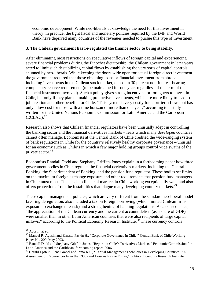economic development. While neo-liberals acknowledge the need for this investment in theory, in practice, the tight fiscal and monetary policies required by the IMF and World Bank have deprived many countries of the revenues needed to pursue this type of investment.

#### **3. The Chilean government has re-regulated the finance sector to bring stability.**

After eliminating most restrictions on speculative inflows of foreign capital and experiencing severe financial problems during the Pinochet dictatorship, the Chilean government in later years acted to limit such destabilizing capital flows by establishing the very sorts of capital controls shunned by neo-liberals. While keeping the doors wide open for actual foreign direct investment, the government required that those obtaining loans or financial investment from abroad, including investments in the Chilean stock market, deposit a 30 percent non-interest-bearing compulsory reserve requirement (to be maintained for one year, regardless of the term of the financial instrument involved). Such a policy gives strong incentives for foreigners to invest in Chile, but only if they plan on making productive investments, which are more likely to lead to job creation and other benefits for Chile. "This system is very costly for short-term flows but has only a low cost for those with a time horizon of more than one year," according to a study written for the United Nations Economic Commission for Latin America and the Caribbean  $(ECLAC).<sup>47</sup>$ 

Research also shows that Chilean financial regulators have been unusually adept in controlling the banking sector and the financial derivatives markets – feats which many *developed* countries cannot often manage. Economists at the Central Bank of Chile credited the wide-ranging system of bank regulations in Chile for the country's relatively healthy corporate governance – unusual for an economy such as Chile's in which a few major holding groups control wide swaths of the private sector. [48](#page-14-1)

Economists Randall Dodd and Stephany Griffith-Jones explain in a forthcoming paper how three government bodies in Chile regulate the financial derivatives markets, including the Central Banking, the Superintendent of Banking, and the pension fund regulator. These bodies set limits on the maximum foreign exchange exposure and other requirements that pension fund managers in Chile must meet. This leads to financial markets in Chile working exceptionally well, and also offers protections from the instabilities that plague many developing country markets.<sup>49</sup>

These capital management policies, which are very different from the standard neo-liberal model favoring deregulation, also included a tax on foreign borrowing (which limited Chilean firms' exposure to exchange rate risk) and a strengthening of banking regulations. As a consequence, "the appreciation of the Chilean currency and the current account deficit (as a share of GDP) were smaller than in other Latin American countries that were also recipients of large capital inflows," according to the Political Economy Research Institute.<sup>50</sup> These currency controls

<span id="page-14-0"></span> $47$  Agosin, at 90.

<span id="page-14-1"></span><sup>&</sup>lt;sup>48</sup> Manuel R. Agosin and Ernesto Pastén H., "Corporate Governance in Chile," Central Bank of Chile Working Paper No. 209, May 2003.

<span id="page-14-2"></span><sup>&</sup>lt;sup>49</sup> Randall Dodd and Stephany Griffith-Jones, "Report on Chile's Derivatives Markets," Economic Commission for Latin America and the Caribbean, forthcoming report, 2006.

<span id="page-14-3"></span>Latin America and the Caribbean and Jomo K.S., "Capital Management Techniques in Developing Countries: An Assessment of Experiences from the 1990s and Lessons for the Future," Political Economy Research Institute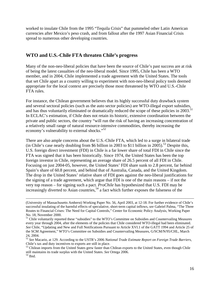worked to insulate Chile from the 1995 "Tequila Crisis" that pummeled other Latin American currencies after Mexico's peso crash, and from fallout after the 1997 Asian Financial Crisis spread to numerous other developing countries.

## **WTO and U.S.-Chile FTA threaten Chile's progress**

Many of the non-neo-liberal policies that have been the source of Chile's past success are at risk of being the latest casualties of the neo-liberal model. Since 1995, Chile has been a WTO member, and in 2004, Chile implemented a trade agreement with the United States. The tools that set Chile apart as a country willing to experiment with non-neo-liberal policy tools deemed appropriate for the local context are precisely those most threatened by WTO and U.S.-Chile FTA rules.

For instance, the Chilean government believes that its highly successful duty drawback system and several sectoral policies (such as the auto sector policies) are WTO-illegal export subsidies, and has thus voluntarily eliminated or dramatically reduced the scope of these policies in 2003.<sup>[51](#page-15-0)</sup> In ECLAC's estimation, if Chile does not retain its historic, extensive coordination between the private and public sectors, the country "will run the risk of having an increasing concentration of a relatively small range of natural resource-intensive commodities, thereby increasing the economy's vulnerability to external shocks."<sup>52</sup>

There are also ample concerns about the U.S.-Chile FTA, which led to a surge in bilateral trade (in Chile's case nearly doubling from \$6 billion in 2003 to \$11 billion in 2005).<sup>53</sup> Despite this, U.S. foreign direct investment (FDI) in Chile is a far lower share of total FDI in Chile since the FTA was signed that it has been historically. Since 1974, the United States has been the top foreign investor in Chile, representing an average share of 26.5 percent of all FDI in Chile. Focusing on just 2004-05, however, the United States' FDI share sunk to 2.8 percent, far behind Spain's share of 60.8 percent, and behind that of Australia, Canada, and the United Kingdom. The drop in the United States' relative share of FDI goes against the neo-liberal justifications for the signing of a trade agreement, which argue that FDI is one of the main reasons – if not the very top reason – for signing such a pact. *ProChile* has hypothesized that U.S. FDI may be increasingly diverted to Asian countries,<sup>54</sup> a fact which further exposes the falseness of the

 <sup>(</sup>University of Massachusetts Amherst) Working Paper No. 56, April 2003, at 12-18. For further evidence of Chile's successful insulating of the harmful effects of speculative, short-term capital inflows, *see* Gabriel Palma, "The Three Routes to Financial Crises: The Need for Capital Controls," Center for Economic Policy Analysis, Working Paper No. 18, November 2000.<br><sup>51</sup> Chile voluntarily reported these "subsidies" to the WTO's Committee on Subsidies and Countervailing Measures

<span id="page-15-0"></span>every year through 2004, after the elements of the policies that Chile considered WTO-illegal had been eliminated. *See* Chile, "Updating and New and Full Notifications Pursuant to Article XVI.1 of the GATT 1994 and Article 25 of the SCM Agreement," WTO's Committee on Subsidies and Countervailing Measures, G/SCM/N/95/CHL, March 24, 2004.

<span id="page-15-1"></span><sup>52</sup> *See* Macario, at 129. According to the USTR's 2006 *National Trade Estimate Report on Foreign Trade Barriers,*  Chile's tax and duty incentives to exports are still in place.<br>
<sup>53</sup> Chilean imports from the United States grew faster than Chilean exports to the United States, even though Chile

<span id="page-15-2"></span>still maintains its trade surplus with the United States. *See* Ortega 2006.<br><sup>54</sup> Ibid.

<span id="page-15-3"></span>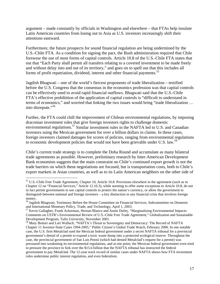argument – made constantly by officials in Washington and elsewhere – that FTAs help insulate Latin American countries from losing out to Asia as U.S. investors increasingly shift their attentions eastward.

Furthermore, the future prospects for sound financial regulation are being undermined by the U.S.-Chile FTA. As a condition for signing the pact, the Bush administration required that Chile forswear the use of most forms of capital controls. Article 10.8 of the U.S.-Chile FTA states that out that "Each Party shall permit all transfers relating to a covered investment to be made freely and without delay into and out of its territory," and goes on to spell out that this includes all forms of profit repatriation, dividend, interest and other financial payments.<sup>55</sup>

Jagdish Bhagwati – one of the world's fiercest proponents of trade liberalization – testified before the U.S. Congress that the consensus in the economics profession was that capital controls can be effectively used to avoid rapid financial outflows. Bhagwati said that the U.S.-Chile FTA's effective prohibition of the application of capital controls is "difficult to understand in terms of economics," and worried that linking the two issues would bring "trade liberalization … into disrepute."[56](#page-16-1) 

Further, the FTA could chill the improvement of Chilean environmental regulations, by imposing draconian investment rules that give foreign investors rights to challenge domestic environmental regulations.<sup>57</sup> Similar investment rules in the NAFTA led to U.S. and Canadian investors suing the Mexican government for over a billion dollars in claims. In these cases, foreign investors claimed damages for scores of policies, ranging from environmental regulations to economic development policies that would not have been grievable under U.S. law.<sup>58</sup>

Chile's current trade strategy is to complete the Doha Round and accumulate as many bilateral trade agreements as possible. However, preliminary research by Inter-American Development Bank economists suggests that the main constraint on Chile's continued export growth is not the trade barriers on which these negotiations are focused, but is transportation costs, both to Chile's export markets in Asian countries, as well as to its Latin American neighbors on the other side of

1

<span id="page-16-0"></span><sup>&</sup>lt;sup>55</sup> U.S.-Chile Free Trade Agreement, Chapter 10, Article 10.8. Provisions elsewhere in the agreement (such as in Chapter 12 on "Financial Services," Article 12.10.3), while seeming to offer some exceptions to Article 10.8, do not in fact permit governments to use capital controls to protect the nation's currency, or allow the government to distinguish between national and foreign investors – a key distinction in any financial crisis that involves foreign

<span id="page-16-1"></span><sup>&</sup>lt;sup>56</sup> Jagdish Bhagwati, Testimony Before the House Committee on Financial Services, Subcommittee on Domestic and International Monetary Policy, Trade, and Technology, April 1, 2003.

<span id="page-16-2"></span><sup>&</sup>lt;sup>57</sup> Kevin Gallagher, Frank Ackerman, Hernan Blanco and Annie Dufey, "Marginalizing Environmental Impacts: Comments on USTR's Environmental Review of U.S.-Chile Free Trade Agreement," Globalization and Sustainable Development Program, Tufts University, November 2001.<br><sup>58</sup> Mary Bottari and Lori Wallach, "NAFTA's Threat to Sovereignty and Democracy: The Record of NAFTA

<span id="page-16-3"></span>Chapter 11 Investor-State Cases 1994-2005," Public Citizen's Global Trade Watch, February 2006. In one notable case, the U.S. firm Metalclad sued the Mexican federal government under a secret NAFTA tribunal for a provincial government's denial of a permit to expand a toxic waste dump into a protected ecological reserve. Throughout the case, the provincial government of San Luis Potosí (which had denied Metalclad's request for a permit) was pressured into weakening its environmental regulations, and at one point, the Mexican federal government even tried to pressure the province to fork over the \$15.6 billion that the NAFTA tribunal has instructed the federal government to pay Metalclad. The 12-year track record of similar cases under NAFTA shows how FTA investment rules undermine public interest regulation, and even federalism.